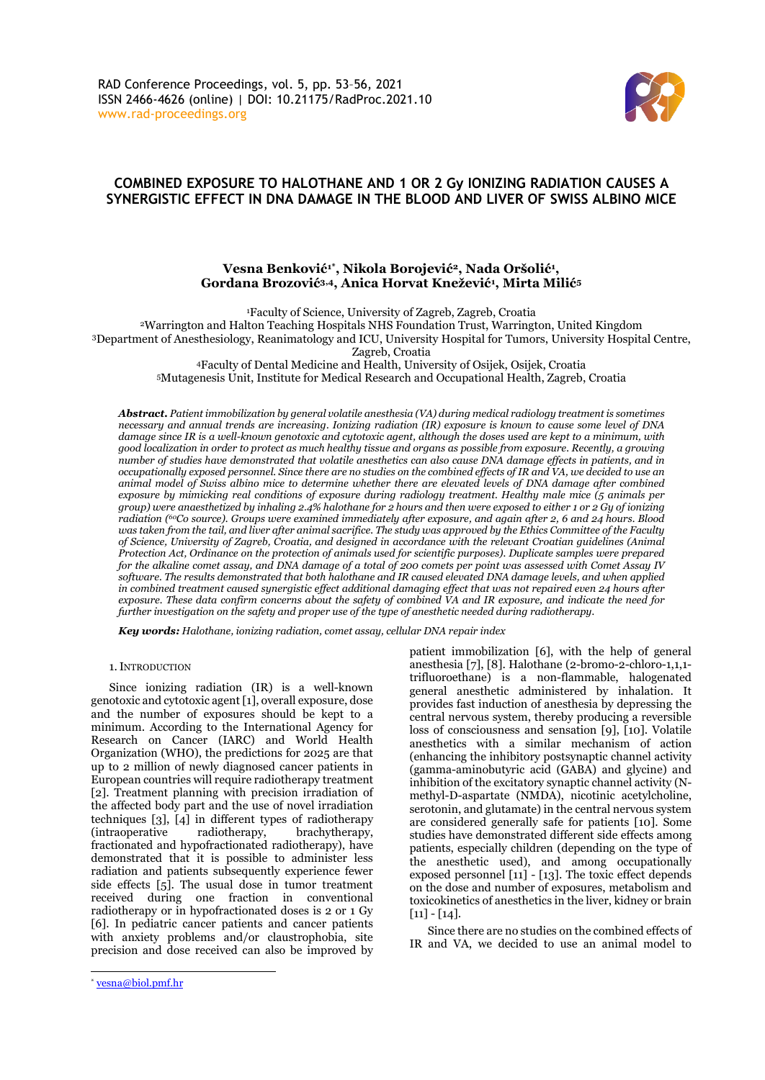

# **COMBINED EXPOSURE TO HALOTHANE AND 1 OR 2 Gy IONIZING RADIATION CAUSES A SYNERGISTIC EFFECT IN DNA DAMAGE IN THE BLOOD AND LIVER OF SWISS ALBINO MICE**

# **Vesna Benković1\* , Nikola Borojević2, Nada Oršolić<sup>1</sup> , Gordana Brozović3,4, Anica Horvat Knežević<sup>1</sup> , Mirta Milić<sup>5</sup>**

<sup>1</sup>Faculty of Science, University of Zagreb, Zagreb, Croatia

<sup>2</sup>Warrington and Halton Teaching Hospitals NHS Foundation Trust, Warrington, United Kingdom <sup>3</sup>Department of Anesthesiology, Reanimatology and ICU, University Hospital for Tumors, University Hospital Centre,

Zagreb, Croatia

<sup>4</sup>Faculty of Dental Medicine and Health, University of Osijek, Osijek, Croatia

<sup>5</sup>Mutagenesis Unit, Institute for Medical Research and Occupational Health, Zagreb, Croatia

*Abstract. Patient immobilization by general volatile anesthesia (VA) during medical radiology treatment is sometimes necessary and annual trends are increasing. Ionizing radiation (IR) exposure is known to cause some level of DNA* damage since IR is a well-known genotoxic and cytotoxic agent, although the doses used are kept to a minimum, with *good localization in order to protect as much healthy tissue and organs as possible from exposure. Recently, a growing number of studies have demonstrated that volatile anesthetics can also cause DNA damage effects in patients, and in* occupationally exposed personnel. Since there are no studies on the combined effects of IR and VA, we decided to use an *animal model of Swiss albino mice to determine whether there are elevated levels of DNA damage after combined exposure by mimicking real conditions of exposure during radiology treatment. Healthy male mice (5 animals per* group) were anaesthetized by inhaling 2.4% halothane for 2 hours and then were exposed to either 1 or 2 Gy of ionizing radiation (60Co source). Groups were examined immediately after exposure, and again after 2, 6 and 24 hours. Blood was taken from the tail, and liver after animal sacrifice. The study was approved by the Ethics Committee of the Faculty of Science, University of Zagreb, Croatia, and designed in accordance with the relevant Croatian guidelines (Animal Protection Act, Ordinance on the protection of animals used for scientific purposes). Duplicate samples were prepared for the alkaline comet assay, and DNA damage of a total of 200 comets per point was assessed with Comet Assay IV *software. The results demonstrated that both halothane and IR caused elevated DNA damage levels, and when applied in combined treatment caused synergistic effect additional damaging effect that was not repaired even 24 hours after exposure. These data confirm concerns about the safety of combined VA and IR exposure, and indicate the need for further investigation on the safety and proper use of the type of anesthetic needed during radiotherapy.*

*Key words: Halothane, ionizing radiation, comet assay, cellular DNA repair index*

1.INTRODUCTION

Since ionizing radiation (IR) is a well-known genotoxic and cytotoxic agent [1], overall exposure, dose and the number of exposures should be kept to a minimum. According to the International Agency for Research on Cancer (IARC) and World Health Organization (WHO), the predictions for 2025 are that up to 2 million of newly diagnosed cancer patients in European countries will require radiotherapy treatment [2]. Treatment planning with precision irradiation of the affected body part and the use of novel irradiation techniques [3], [4] in different types of radiotherapy (intraoperative radiotherapy, brachytherapy, fractionated and hypofractionated radiotherapy), have demonstrated that it is possible to administer less radiation and patients subsequently experience fewer side effects [5]. The usual dose in tumor treatment received during one fraction in conventional radiotherapy or in hypofractionated doses is 2 or 1 Gy [6]. In pediatric cancer patients and cancer patients with anxiety problems and/or claustrophobia, site precision and dose received can also be improved by

patient immobilization [6], with the help of general anesthesia [7], [8]. Halothane (2-bromo-2-chloro-1,1,1 trifluoroethane) is a non-flammable, halogenated general anesthetic administered by inhalation. It provides fast induction of anesthesia by depressing the central nervous system, thereby producing a reversible loss of consciousness and sensation [9], [10]. Volatile anesthetics with a similar mechanism of action (enhancing the inhibitory postsynaptic channel activity (gamma-aminobutyric acid (GABA) and glycine) and inhibition of the excitatory synaptic channel activity (Nmethyl-D-aspartate (NMDA), nicotinic acetylcholine, serotonin, and glutamate) in the central nervous system are considered generally safe for patients [10]. Some studies have demonstrated different side effects among patients, especially children (depending on the type of the anesthetic used), and among occupationally exposed personnel [11] - [13]. The toxic effect depends on the dose and number of exposures, metabolism and toxicokinetics of anesthetics in the liver, kidney or brain  $[11] - [14]$ .

Since there are no studies on the combined effects of IR and VA, we decided to use an animal model to

<sup>\*</sup> [vesna@biol.pmf.hr](mailto:vesna@biol.pmf.hr)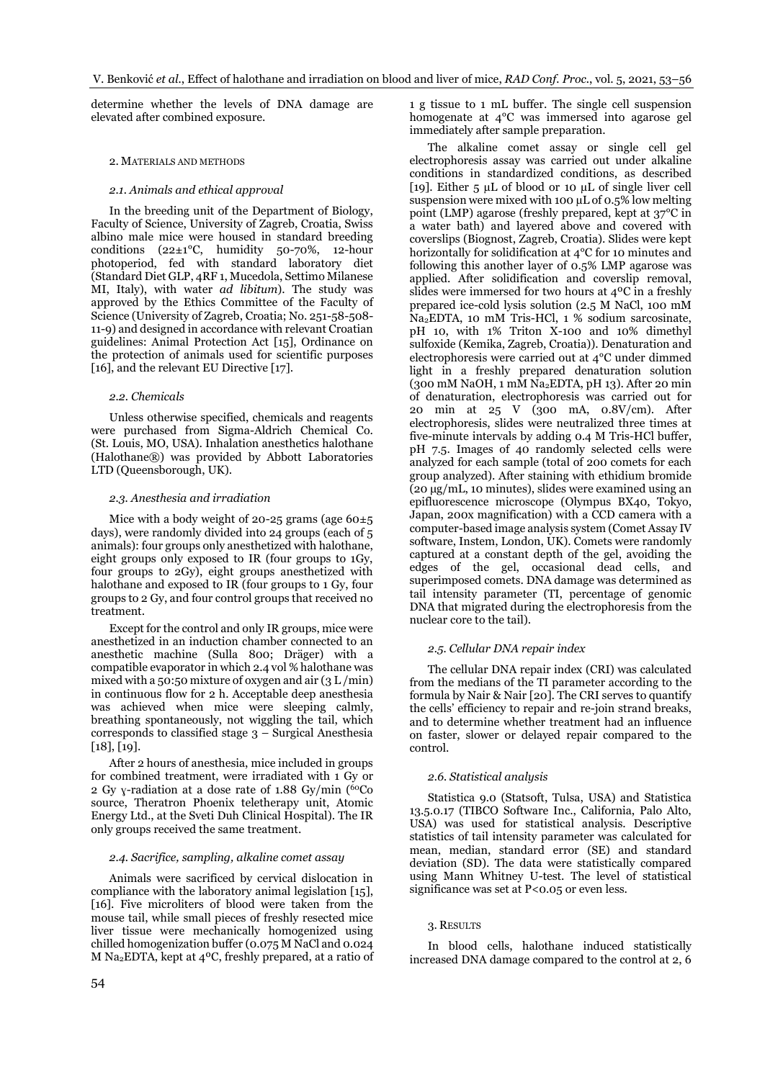determine whether the levels of DNA damage are elevated after combined exposure.

## 2. MATERIALS AND METHODS

# *2.1. Animals and ethical approval*

In the breeding unit of the Department of Biology, Faculty of Science, University of Zagreb, Croatia, Swiss albino male mice were housed in standard breeding conditions ( $22\pm1$ °C, humidity 50-70%, 12-hour photoperiod, fed with standard laboratory diet (Standard Diet GLP, 4RF 1, Mucedola, Settimo Milanese MI, Italy), with water *ad libitum*). The study was approved by the Ethics Committee of the Faculty of Science (University of Zagreb, Croatia; No. 251-58-508- 11-9) and designed in accordance with relevant Croatian guidelines: Animal Protection Act [15], Ordinance on the protection of animals used for scientific purposes [16], and the relevant EU Directive [17].

#### *2.2. Chemicals*

Unless otherwise specified, chemicals and reagents were purchased from Sigma-Aldrich Chemical Co. (St. Louis, MO, USA). Inhalation anesthetics halothane (Halothane®) was provided by Abbott Laboratories LTD (Queensborough, UK).

#### *2.3. Anesthesia and irradiation*

Mice with a body weight of 20-25 grams (age  $60\pm5$ days), were randomly divided into 24 groups (each of 5 animals): four groups only anesthetized with halothane, eight groups only exposed to IR (four groups to 1Gy, four groups to 2Gy), eight groups anesthetized with halothane and exposed to IR (four groups to 1 Gy, four groups to 2 Gy, and four control groups that received no treatment.

Except for the control and only IR groups, mice were anesthetized in an induction chamber connected to an anesthetic machine (Sulla 800; Dräger) with a compatible evaporator in which 2.4 vol % halothane was mixed with a 50:50 mixture of oxygen and air (3 L /min) in continuous flow for 2 h. Acceptable deep anesthesia was achieved when mice were sleeping calmly, breathing spontaneously, not wiggling the tail, which corresponds to classified stage 3 – Surgical Anesthesia  $[18]$ ,  $[19]$ .

After 2 hours of anesthesia, mice included in groups for combined treatment, were irradiated with 1 Gy or 2 Gy ɣ-radiation at a dose rate of 1.88 Gy/min ( <sup>60</sup>Co source, Theratron Phoenix teletherapy unit, Atomic Energy Ltd., at the Sveti Duh Clinical Hospital). The IR only groups received the same treatment.

# *2.4. Sacrifice, sampling, alkaline comet assay*

Animals were sacrificed by cervical dislocation in compliance with the laboratory animal legislation [15], [16]. Five microliters of blood were taken from the mouse tail, while small pieces of freshly resected mice liver tissue were mechanically homogenized using chilled homogenization buffer (0.075 M NaCl and 0.024 M Na2EDTA, kept at 4ºC, freshly prepared, at a ratio of

1 g tissue to 1 mL buffer. The single cell suspension homogenate at 4°C was immersed into agarose gel immediately after sample preparation.

The alkaline comet assay or single cell gel electrophoresis assay was carried out under alkaline conditions in standardized conditions, as described [19]. Either  $5 \mu L$  of blood or 10  $\mu L$  of single liver cell suspension were mixed with 100  $\mu$ L of 0.5% low melting point (LMP) agarose (freshly prepared, kept at 37°C in a water bath) and layered above and covered with coverslips (Biognost, Zagreb, Croatia). Slides were kept horizontally for solidification at 4°C for 10 minutes and following this another layer of 0.5% LMP agarose was applied. After solidification and coverslip removal, slides were immersed for two hours at 4ºC in a freshly prepared ice-cold lysis solution (2.5 M NaCl, 100 mM Na2EDTA, 10 mM Tris-HCl, 1 % sodium sarcosinate, pH 10, with 1% Triton X-100 and 10% dimethyl sulfoxide (Kemika, Zagreb, Croatia)). Denaturation and electrophoresis were carried out at 4°C under dimmed light in a freshly prepared denaturation solution (300 mM NaOH, 1 mM Na2EDTA, pH 13). After 20 min of denaturation, electrophoresis was carried out for 20 min at 25 V (300 mA, 0.8V/cm). After electrophoresis, slides were neutralized three times at five-minute intervals by adding 0.4 M Tris-HCl buffer, pH 7.5. Images of 40 randomly selected cells were analyzed for each sample (total of 200 comets for each group analyzed). After staining with ethidium bromide (20 μg/mL, 10 minutes), slides were examined using an epifluorescence microscope (Olympus BX40, Tokyo, Japan, 200x magnification) with a CCD camera with a computer-based image analysis system (Comet Assay IV software, Instem, London, UK). Comets were randomly captured at a constant depth of the gel, avoiding the edges of the gel, occasional dead cells, and superimposed comets. DNA damage was determined as tail intensity parameter (TI, percentage of genomic DNA that migrated during the electrophoresis from the nuclear core to the tail).

### *2.5. Cellular DNA repair index*

The cellular DNA repair index (CRI) was calculated from the medians of the TI parameter according to the formula by Nair & Nair [20]. The CRI serves to quantify the cells' efficiency to repair and re-join strand breaks, and to determine whether treatment had an influence on faster, slower or delayed repair compared to the control.

# *2.6. Statistical analysis*

Statistica 9.0 (Statsoft, Tulsa, USA) and Statistica 13.5.0.17 (TIBCO Software Inc., California, Palo Alto, USA) was used for statistical analysis. Descriptive statistics of tail intensity parameter was calculated for mean, median, standard error (SE) and standard deviation (SD). The data were statistically compared using Mann Whitney U-test. The level of statistical significance was set at P<0.05 or even less.

#### 3. RESULTS

In blood cells, halothane induced statistically increased DNA damage compared to the control at 2, 6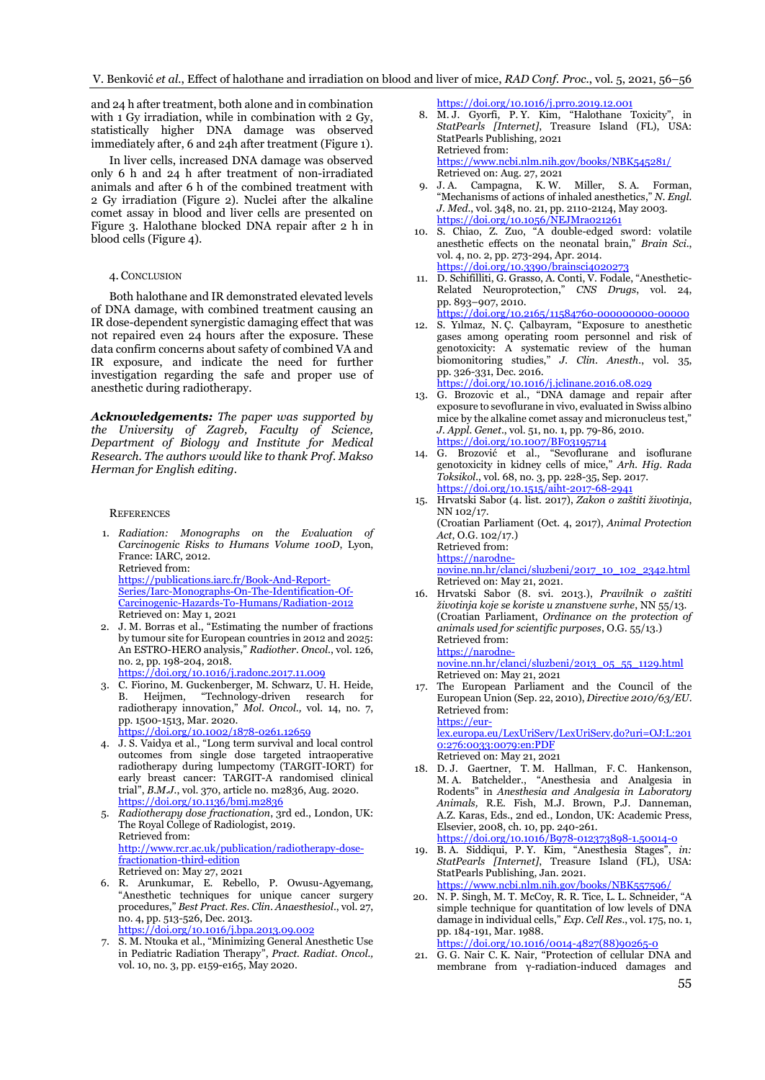and 24 h after treatment, both alone and in combination with 1 Gy irradiation, while in combination with 2 Gy, statistically higher DNA damage was observed immediately after, 6 and 24h after treatment (Figure 1).

In liver cells, increased DNA damage was observed only 6 h and 24 h after treatment of non-irradiated animals and after 6 h of the combined treatment with 2 Gy irradiation (Figure 2). Nuclei after the alkaline comet assay in blood and liver cells are presented on Figure 3. Halothane blocked DNA repair after 2 h in blood cells (Figure 4).

#### 4. CONCLUSION

Both halothane and IR demonstrated elevated levels of DNA damage, with combined treatment causing an IR dose-dependent synergistic damaging effect that was not repaired even 24 hours after the exposure. These data confirm concerns about safety of combined VA and IR exposure, and indicate the need for further investigation regarding the safe and proper use of anesthetic during radiotherapy.

*Acknowledgements: The paper was supported by the University of Zagreb, Faculty of Science, Department of Biology and Institute for Medical Research. The authors would like to thank Prof. Makso Herman for English editing.*

#### **REFERENCES**

1. *Radiation: Monographs on the Evaluation of Carcinogenic Risks to Humans Volume 100D*, Lyon, France: IARC, 2012. Retrieved from:

[https://publications.iarc.fr/Book-And-Report-](https://publications.iarc.fr/Book-And-Report-Series/Iarc-Monographs-On-The-Identification-Of-Carcinogenic-Hazards-To-Humans/Radiation-2012)[Series/Iarc-Monographs-On-The-Identification-Of-](https://publications.iarc.fr/Book-And-Report-Series/Iarc-Monographs-On-The-Identification-Of-Carcinogenic-Hazards-To-Humans/Radiation-2012)[Carcinogenic-Hazards-To-Humans/Radiation-2012](https://publications.iarc.fr/Book-And-Report-Series/Iarc-Monographs-On-The-Identification-Of-Carcinogenic-Hazards-To-Humans/Radiation-2012) Retrieved on: May 1, 2021

- 2. J. M. Borras et al., "Estimating the number of fractions by tumour site for European countries in 2012 and 2025: An ESTRO-HERO analysis," *Radiother. Oncol*., vol. 126, no. 2, pp. 198-204, 2018. <https://doi.org/10.1016/j.radonc.2017.11.009>
- 3. C. Fiorino, M. Guckenberger, M. Schwarz, U. H. Heide, B. Heijmen, "Technology-driven research for radiotherapy innovation," *Mol. Oncol*.*,* vol. 14, no. 7, pp. 1500-1513, Mar. 2020. <https://doi.org/10.1002/1878-0261.12659>
- 4. J. S. Vaidya et al., "Long term survival and local control outcomes from single dose targeted intraoperative radiotherapy during lumpectomy (TARGIT-IORT) for early breast cancer: TARGIT-A randomised clinical trial", *B.M.J.*, vol. 370, article no. m2836, Aug. 2020. <https://doi.org/10.1136/bmj.m2836>
- 5. *Radiotherapy dose fractionation*, 3rd ed., London, UK: The Royal College of Radiologist, 2019. Retrieved from: [http://www.rcr.ac.uk/publication/radiotherapy-dose](http://www.rcr.ac.uk/publication/radiotherapy-dose-fractionation-third-edition)[fractionation-third-edition](http://www.rcr.ac.uk/publication/radiotherapy-dose-fractionation-third-edition) Retrieved on: May 27, 2021
- 6. R. Arunkumar, E. Rebello, P. Owusu-Agyemang, "Anesthetic techniques for unique cancer surgery procedures," *Best Pract. Res. Clin. Anaesthesiol*., vol. 27, no. 4, pp. 513-526, Dec. 2013. <https://doi.org/10.1016/j.bpa.2013.09.002>
- 7. S. M. Ntouka et al., "Minimizing General Anesthetic Use in Pediatric Radiation Therapy", *Pract. Radiat. Oncol.,* vol. 10, no. 3, pp. e159-e165, May 2020.

<https://doi.org/10.1016/j.prro.2019.12.001>

- 8. M. J. Gyorfi, P. Y. Kim, "Halothane Toxicity", in *StatPearls [Internet]*, Treasure Island (FL), USA: StatPearls Publishing, 2021 Retrieved from: <https://www.ncbi.nlm.nih.gov/books/NBK545281/> Retrieved on: Aug. 27, 2021
- J. A. Campagna, K. W. Miller, S. A. Forman, "Mechanisms of actions of inhaled anesthetics," *N. Engl. J. Med*., vol. 348, no. 21, pp. 2110-2124, May 2003. <https://doi.org/10.1056/NEJMra021261>
- 10. S. Chiao, Z. Zuo, "A double-edged sword: volatile anesthetic effects on the neonatal brain," *Brain Sci*., vol. 4, no. 2, pp. 273-294, Apr. 2014. <https://doi.org/10.3390/brainsci4020273>
- 11. D. Schifilliti, G. Grasso, A. Conti, V[. Fodale](https://pubmed.ncbi.nlm.nih.gov/?term=Fodale+V&cauthor_id=20932063), "Anesthetic-Related Neuroprotection," *CNS Drugs*, vol. 24, pp. 893–907, 2010. <https://doi.org/10.2165/11584760-000000000-00000>
- 12. S. Yılmaz, N. Ç. Çalbayram, "Exposure to anesthetic gases among operating room personnel and risk of
- genotoxicity: A systematic review of the human biomonitoring studies," *J. Clin. Anesth*., vol. 35, pp. 326-331, Dec. 2016. <https://doi.org/10.1016/j.jclinane.2016.08.029>
- 13. G. Brozovic et al., "DNA damage and repair after exposure to sevoflurane in vivo, evaluated in Swiss albino mice by the alkaline comet assay and micronucleus test," *J. Appl. Genet*., vol. 51, no. 1, pp. 79-86, 2010. <https://doi.org/10.1007/BF03195714>
- 14. G. Brozović et al., "Sevoflurane and isoflurane genotoxicity in kidney cells of mice," *Arh. Hig. Rada Toksikol.*, vol. 68, no. 3, pp. 228-35, Sep. 2017. <https://doi.org/10.1515/aiht-2017-68-2941>
- 15. Hrvatski Sabor (4. list. 2017), *Zakon o zaštiti životinja*, NN 102/17. (Croatian Parliament (Oct. 4, 2017), *Animal Protection Act*, O.G. 102/17.) Retrieved from: [https://narodne-](https://narodne-novine.nn.hr/clanci/sluzbeni/2017_10_102_2342.html)

[novine.nn.hr/clanci/sluzbeni/2017\\_10\\_102\\_2342.html](https://narodne-novine.nn.hr/clanci/sluzbeni/2017_10_102_2342.html) Retrieved on: May 21, 2021.

16. Hrvatski Sabor (8. svi. 2013.), *Pravilnik o zaštiti životinja koje se koriste u znanstvene svrhe*, NN 55/13. (Croatian Parliament, *Ordinance on the protection of animals used for scientific purposes*, O.G*.* 55/13.) Retrieved from: [https://narodne-](https://narodne-novine.nn.hr/clanci/sluzbeni/2013_05_55_1129.html)

[novine.nn.hr/clanci/sluzbeni/2013\\_05\\_55\\_1129.html](https://narodne-novine.nn.hr/clanci/sluzbeni/2013_05_55_1129.html) Retrieved on: May 21, 2021

The European Parliament and the Council of the European Union (Sep. 22, 2010), *Directive 2010/63/EU*. Retrieved from: [https://eur-](https://eur-lex.europa.eu/LexUriServ/LexUriServ)

[lex.europa.eu/LexUriServ/LexUriServ.d](https://eur-lex.europa.eu/LexUriServ/LexUriServ)o?uri=OJ:L:201 0:276:0033:0079:en:PDF Retrieved on: May 21, 2021

- 18. D. [J. Gaertner,](https://www.sciencedirect.com/science/article/pii/B9780123738981500140#!) T. [M. Hallman,](https://www.sciencedirect.com/science/article/pii/B9780123738981500140#!) F. [C. Hankenson,](https://www.sciencedirect.com/science/article/pii/B9780123738981500140#!)  M. [A. Batchelder](https://www.sciencedirect.com/science/article/pii/B9780123738981500140#!)., "Anesthesia and Analgesia in Rodents" in *Anesthesia and Analgesia in Laboratory Animals,* R.E. Fish, M.J. Brown, P.J. Danneman, A.Z. Karas, Eds., 2nd ed., London, UK: Academic Press, Elsevier, 2008, ch. 10, pp. 240-261. <https://doi.org/10.1016/B978-012373898-1.50014-0>
- 19. B. A. Siddiqui, P. Y. Kim, "Anesthesia Stages", *in: StatPearls [Internet]*, Treasure Island (FL), USA: StatPearls Publishing, Jan. 2021. https://www.ncbi.nlm.nih.gov/books/NBK557596/
- 20. N. P. Singh, M. T. McCoy, R. R. Tice, L. L. Schneider, "A simple technique for quantitation of low levels of DNA damage in individual cells," *Exp. Cell Res*., vol. 175, no. 1, pp. 184-191, Mar. 1988.

[https://doi.org/10.1016/0014-4827\(88\)90265-0](https://doi.org/10.1016/0014-4827(88)90265-0)

21. G. G. Nair C. K. Nair, "Protection of cellular DNA and membrane from γ-radiation-induced damages and